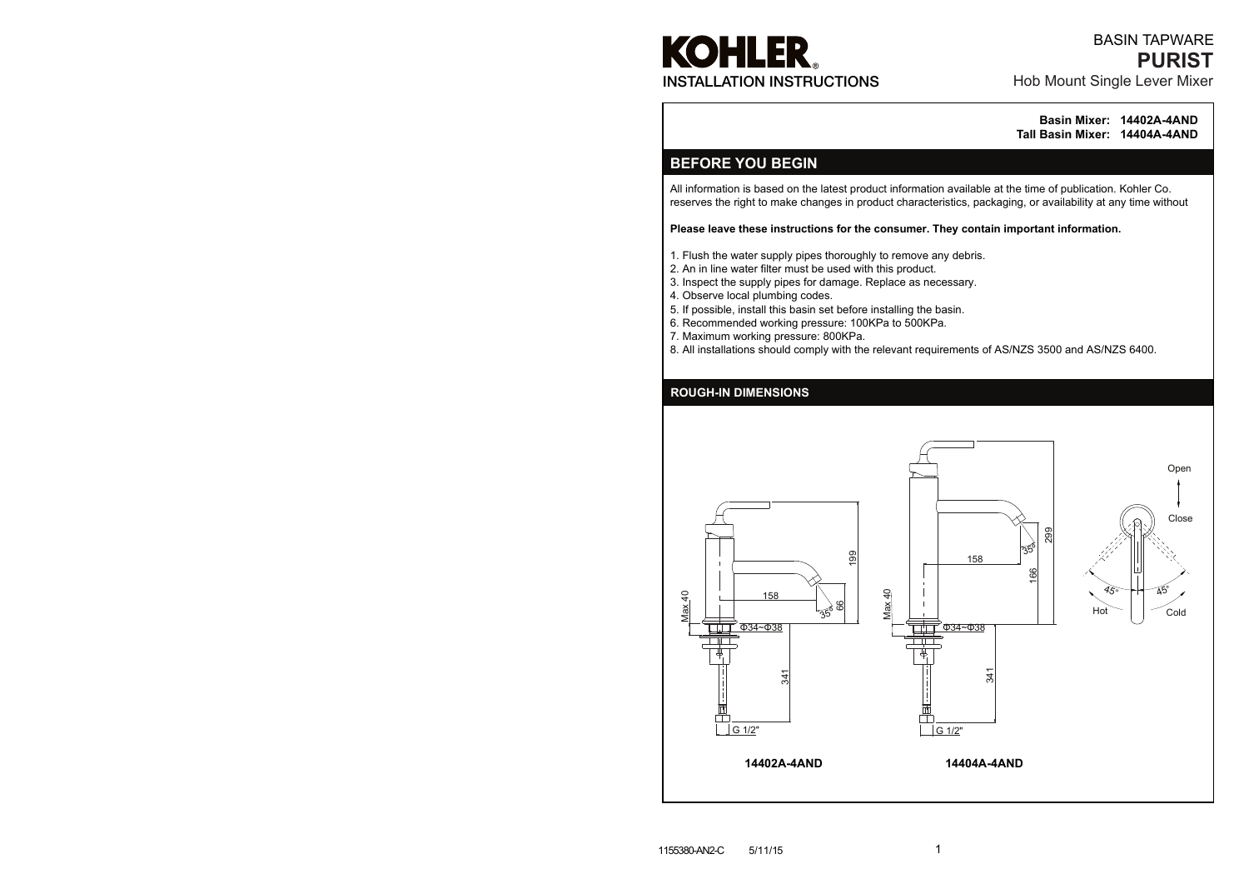All information is based on the latest product information available at the time of publication. Kohler Co. reserves the right to make changes in product characteristics, packaging, or availability at any time without

#### **Please leave these instructions for the consumer. They contain important information.**

# **KOHLER** INSTALLATION INSTRUCTIONS

- 1. Flush the water supply pipes thoroughly to remove any debris.
- 2. An in line water filter must be used with this product.
- 3. Inspect the supply pipes for damage. Replace as necessary.
- 4. Observe local plumbing codes.
- 5. If possible, install this basin set before installing the basin.
- 6. Recommended working pressure: 100KPa to 500KPa.
- 7. Maximum working pressure: 800KPa.
- 8. All installations should comply with the relevant requirements of AS/NZS 3500 and AS/NZS 6400.

**Basin Mixer: 14402A-4AND Tall Basin Mixer: 14404A-4AND**

## **BEFORE YOU BEGIN**

#### **ROUGH-IN DIMENSIONS**



## Hob Mount Single Lever Mixer **PURIST** BASIN TAPWARE